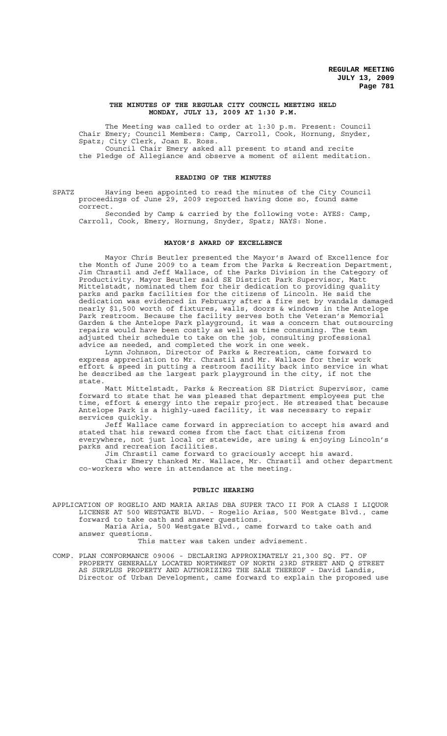#### **THE MINUTES OF THE REGULAR CITY COUNCIL MEETING HELD MONDAY, JULY 13, 2009 AT 1:30 P.M.**

The Meeting was called to order at 1:30 p.m. Present: Council Chair Emery; Council Members: Camp, Carroll, Cook, Hornung, Snyder, Spatz; City Clerk, Joan E. Ross.

Council Chair Emery asked all present to stand and recite the Pledge of Allegiance and observe a moment of silent meditation.

## **READING OF THE MINUTES**

SPATZ Having been appointed to read the minutes of the City Council proceedings of June 29, 2009 reported having done so, found same correct.

Seconded by Camp & carried by the following vote: AYES: Camp, Carroll, Cook, Emery, Hornung, Snyder, Spatz; NAYS: None.

## **MAYOR'S AWARD OF EXCELLENCE**

Mayor Chris Beutler presented the Mayor's Award of Excellence for the Month of June 2009 to a team from the Parks & Recreation Department, Jim Chrastil and Jeff Wallace, of the Parks Division in the Category of Productivity. Mayor Beutler said SE District Park Supervisor, Matt Mittelstadt, nominated them for their dedication to providing quality parks and parks facilities for the citizens of Lincoln. He said the dedication was evidenced in February after a fire set by vandals damaged nearly \$1,500 worth of fixtures, walls, doors & windows in the Antelope Park restroom. Because the facility serves both the Veteran's Memorial Garden & the Antelope Park playground, it was a concern that outsourcing repairs would have been costly as well as time consuming. The team adjusted their schedule to take on the job, consulting professional advice as needed, and completed the work in one week.

Lynn Johnson, Director of Parks & Recreation, came forward to express appreciation to Mr. Chrastil and Mr. Wallace for their work effort & speed in putting a restroom facility back into service in what he described as the largest park playground in the city, if not the state.

Matt Mittelstadt, Parks & Recreation SE District Supervisor, came forward to state that he was pleased that department employees put the time, effort & energy into the repair project. He stressed that because Antelope Park is a highly-used facility, it was necessary to repair services quickly.

Jeff Wallace came forward in appreciation to accept his award and stated that his reward comes from the fact that citizens from everywhere, not just local or statewide, are using & enjoying Lincoln's parks and recreation facilities.

Jim Chrastil came forward to graciously accept his award.

Chair Emery thanked Mr. Wallace, Mr. Chrastil and other department co-workers who were in attendance at the meeting.

#### **PUBLIC HEARING**

APPLICATION OF ROGELIO AND MARIA ARIAS DBA SUPER TACO II FOR A CLASS I LIQUOR LICENSE AT 500 WESTGATE BLVD. - Rogelio Arias, 500 Westgate Blvd., came forward to take oath and answer questions.

Maria Aria, 500 Westgate Blvd., came forward to take oath and answer questions.

This matter was taken under advisement.

COMP. PLAN CONFORMANCE 09006 - DECLARING APPROXIMATELY 21,300 SQ. FT. OF PROPERTY GENERALLY LOCATED NORTHWEST OF NORTH 23RD STREET AND Q STREET AS SURPLUS PROPERTY AND AUTHORIZING THE SALE THEREOF - David Landis, Director of Urban Development, came forward to explain the proposed use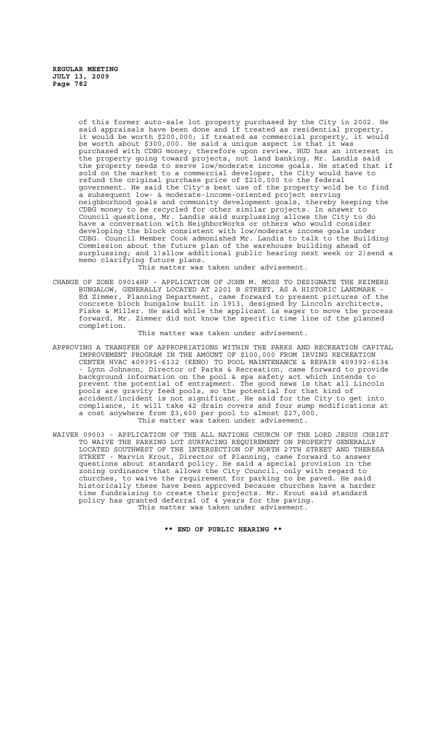> of this former auto-sale lot property purchased by the City in 2002. He said appraisals have been done and if treated as residential property, it would be worth \$200,000; if treated as commercial property, it would be worth about \$300,000. He said a unique aspect is that it was purchased with CDBG money; therefore upon review, HUD has an interest in the property going toward projects, not land banking. Mr. Landis said the property needs to serve low/moderate income goals. He stated that if sold on the market to a commercial developer, the City would have to refund the original purchase price of \$210,000 to the federal government. He said the City's best use of the property wold be to find a subsequent low- & moderate-income-oriented project serving neighborhood goals and community development goals, thereby keeping the CDBG money to be recycled for other similar projects. In answer to Council questions, Mr. Landis said surplussing allows the City to do have a conversation with NeighborWorks or others who would consider developing the block consistent with low/moderate income goals under CDBG. Council Member Cook admonished Mr. Landis to talk to the Building Commission about the future plan of the warehouse building ahead of surplussing; and 1)allow additional public hearing next week or 2)send a memo clarifying future plans.

This matter was taken under advisement.

CHANGE OF ZONE 09014HP - APPLICATION OF JOHN M. MOSS TO DESIGNATE THE REIMERS BUNGALOW, GENERALLY LOCATED AT 2201 B STREET, AS A HISTORIC LANDMARK - Ed Zimmer, Planning Department, came forward to present pictures of the concrete block bungalow built in 1913, designed by Lincoln architects, Fiske & Miller. He said while the applicant is eager to move the process forward, Mr. Zimmer did not know the specific time line of the planned completion.

#### This matter was taken under advisement.

- APPROVING A TRANSFER OF APPROPRIATIONS WITHIN THE PARKS AND RECREATION CAPITAL IMPROVEMENT PROGRAM IN THE AMOUNT OF \$100,000 FROM IRVING RECREATION CENTER HVAC 409391-6132 (KENO) TO POOL MAINTENANCE & REPAIR 409392-6134 - Lynn Johnson, Director of Parks & Recreation, came forward to provide background information on the pool & spa safety act which intends to prevent the potential of entrapment. The good news is that all Lincoln pools are gravity feed pools, so the potential for that kind of accident/incident is not significant. He said for the City to get into compliance, it will take 42 drain covers and four sump modifications at a cost anywhere from \$3,600 per pool to almost \$27,000. This matter was taken under advisement.
- WAIVER 09003 APPLICATION OF THE ALL NATIONS CHURCH OF THE LORD JESUS CHRIST TO WAIVE THE PARKING LOT SURFACING REQUIREMENT ON PROPERTY GENERALLY LOCATED SOUTHWEST OF THE INTERSECTION OF NORTH 27TH STREET AND THERESA STREET - Marvin Krout, Director of Planning, came forward to answer questions about standard policy. He said a special provision in the zoning ordinance that allows the City Council, only with regard to churches, to waive the requirement for parking to be paved. He said historically these have been approved because churches have a harder time fundraising to create their projects. Mr. Krout said standard policy has granted deferral of 4 years for the paving. This matter was taken under advisement.

**\*\* END OF PUBLIC HEARING \*\***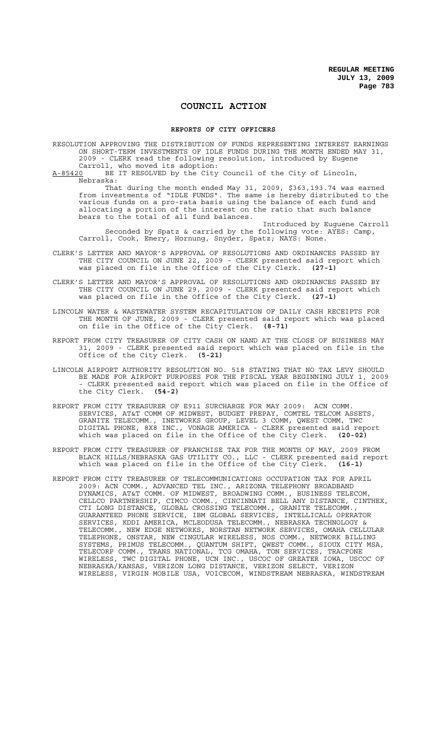# **COUNCIL ACTION**

#### **REPORTS OF CITY OFFICERS**

RESOLUTION APPROVING THE DISTRIBUTION OF FUNDS REPRESENTING INTEREST EARNINGS ON SHORT-TERM INVESTMENTS OF IDLE FUNDS DURING THE MONTH ENDED MAY 31, 2009 - CLERK read the following resolution, introduced by Eugene

Carroll, who moved its adoption:<br>A-85420 BE IT RESOLVED by the City BE IT RESOLVED by the City Council of the City of Lincoln, Nebraska:

That during the month ended May 31, 2009, \$363,193.74 was earned from investments of "IDLE FUNDS". The same is hereby distributed to the various funds on a pro-rata basis using the balance of each fund and allocating a portion of the interest on the ratio that such balance bears to the total of all fund balances.

Introduced by Euguene Carroll Seconded by Spatz & carried by the following vote: AYES: Camp, Carroll, Cook, Emery, Hornung, Snyder, Spatz; NAYS: None.

- CLERK'S LETTER AND MAYOR'S APPROVAL OF RESOLUTIONS AND ORDINANCES PASSED BY THE CITY COUNCIL ON JUNE 22, 2009 - CLERK presented said report which was placed on file in the Office of the City Clerk. **(27-1)**
- CLERK'S LETTER AND MAYOR'S APPROVAL OF RESOLUTIONS AND ORDINANCES PASSED BY THE CITY COUNCIL ON JUNE 29, 2009 - CLERK presented said report which was placed on file in the Office of the City Clerk. **(27-1)**
- LINCOLN WATER & WASTEWATER SYSTEM RECAPITULATION OF DAILY CASH RECEIPTS FOR THE MONTH OF JUNE, 2009 - CLERK presented said report which was placed on file in the Office of the City Clerk. **(8-71)**
- REPORT FROM CITY TREASURER OF CITY CASH ON HAND AT THE CLOSE OF BUSINESS MAY 31, 2009 - CLERK presented said report which was placed on file in the Office of the City Clerk. **(5-21)**
- LINCOLN AIRPORT AUTHORITY RESOLUTION NO. 518 STATING THAT NO TAX LEVY SHOULD BE MADE FOR AIRPORT PURPOSES FOR THE FISCAL YEAR BEGINNING JULY 1, 2009 - CLERK presented said report which was placed on file in the Office of the City Clerk. **(54-2)**
- REPORT FROM CITY TREASURER OF E911 SURCHARGE FOR MAY 2009: ACN COMM. SERVICES, AT&T COMM OF MIDWEST, BUDGET PREPAY, COMTEL TELCOM ASSETS, GRANITE TELECOMM., INETWORKS GROUP, LEVEL 3 COMM, QWEST COMM, TWC DIGITAL PHONE, 8X8 INC., VONAGE AMERICA - CLERK presented said report which was placed on file in the Office of the City Clerk. **(20-02)**
- REPORT FROM CITY TREASURER OF FRANCHISE TAX FOR THE MONTH OF MAY, 2009 FROM BLACK HILLS/NEBRASKA GAS UTILITY CO., LLC - CLERK presented said report which was placed on file in the Office of the City Clerk. **(16-1)**
- REPORT FROM CITY TREASURER OF TELECOMMUNICATIONS OCCUPATION TAX FOR APRIL 2009: ACN COMM., ADVANCED TEL INC., ARIZONA TELEPHONY BROADBAND DYNAMICS, AT&T COMM. OF MIDWEST, BROADWING COMM., BUSINESS TELECOM, CELLCO PARTNERSHIP, CIMCO COMM., CINCINNATI BELL ANY DISTANCE, CINTHEX, CTI LONG DISTANCE, GLOBAL CROSSING TELECOMM., GRANITE TELECOMM., GUARANTEED PHONE SERVICE, IBM GLOBAL SERVICES, INTELLICALL OPERATOR SERVICES, KDDI AMERICA, MCLEODUSA TELECOMM., NEBRASKA TECHNOLOGY & TELECOMM., NEW EDGE NETWORKS, NORSTAN NETWORK SERVICES, OMAHA CELLULAR TELEPHONE, ONSTAR, NEW CINGULAR WIRELESS, NOS COMM., NETWORK BILLING SYSTEMS, PRIMUS TELECOMM., QUANTUM SHIFT, QWEST COMM., SIOUX CITY MSA, TELECORP COMM., TRANS NATIONAL, TCG OMAHA, TON SERVICES, TRACFONE WIRELESS, TWC DIGITAL PHONE, UCN INC., USCOC OF GREATER IOWA, USCOC OF NEBRASKA/KANSAS, VERIZON LONG DISTANCE, VERIZON SELECT, VERIZON WIRELESS, VIRGIN MOBILE USA, VOICECOM, WINDSTREAM NEBRASKA, WINDSTREAM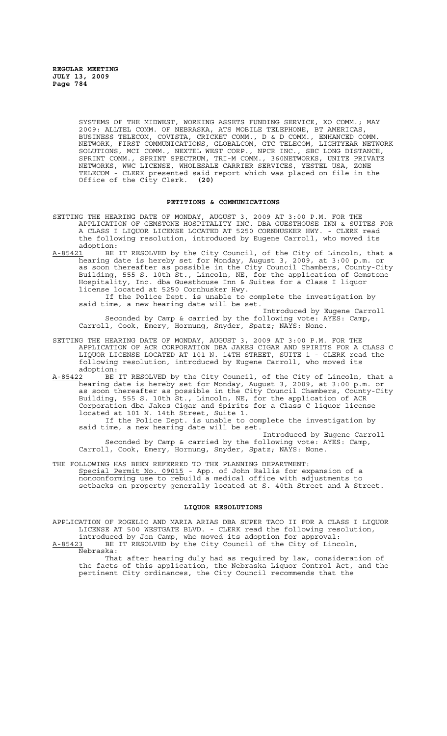SYSTEMS OF THE MIDWEST, WORKING ASSETS FUNDING SERVICE, XO COMM.; MAY 2009: ALLTEL COMM. OF NEBRASKA, ATS MOBILE TELEPHONE, BT AMERICAS, BUSINESS TELECOM, COVISTA, CRICKET COMM., D & D COMM., ENHANCED COMM. NETWORK, FIRST COMMUNICATIONS, GLOBALCOM, GTC TELECOM, LIGHTYEAR NETWORK SOLUTIONS, MCI COMM., NEXTEL WEST CORP., NPCR INC., SBC LONG DISTANCE, SPRINT COMM., SPRINT SPECTRUM, TRI-M COMM., 360NETWORKS, UNITE PRIVATE NETWORKS, WWC LICENSE, WHOLESALE CARRIER SERVICES, YESTEL USA, ZONE TELECOM - CLERK presented said report which was placed on file in the Office of the City Clerk. **(20)**

### **PETITIONS & COMMUNICATIONS**

- SETTING THE HEARING DATE OF MONDAY, AUGUST 3, 2009 AT 3:00 P.M. FOR THE APPLICATION OF GEMSTONE HOSPITALITY INC. DBA GUESTHOUSE INN & SUITES FOR A CLASS I LIQUOR LICENSE LOCATED AT 5250 CORNHUSKER HWY. - CLERK read the following resolution, introduced by Eugene Carroll, who moved its adoption:<br>A-85421 BE
- BE IT RESOLVED by the City Council, of the City of Lincoln, that a hearing date is hereby set for Monday, August 3, 2009, at 3:00 p.m. or as soon thereafter as possible in the City Council Chambers, County-City Building, 555 S. 10th St., Lincoln, NE, for the application of Gemstone Hospitality, Inc. dba Guesthouse Inn & Suites for a Class I liquor license located at 5250 Cornhusker Hwy.<br>If the Police Dept. is unable to complete the investigation by

If the Police Dept. is unable to complete the investigation by said time, a new hearing date will be set.

Introduced by Eugene Carroll Seconded by Camp & carried by the following vote: AYES: Camp, Carroll, Cook, Emery, Hornung, Snyder, Spatz; NAYS: None.

- SETTING THE HEARING DATE OF MONDAY, AUGUST 3, 2009 AT 3:00 P.M. FOR THE APPLICATION OF ACR CORPORATION DBA JAKES CIGAR AND SPIRITS FOR A CLASS C LIQUOR LICENSE LOCATED AT 101 N. 14TH STREET, SUITE 1 - CLERK read the following resolution, introduced by Eugene Carroll, who moved its adoption:
- A-85422 BE IT RESOLVED by the City Council, of the City of Lincoln, that a hearing date is hereby set for Monday, August 3, 2009, at 3:00 p.m. or as soon thereafter as possible in the City Council Chambers, County-City Building, 555 S. 10th St., Lincoln, NE, for the application of ACR Corporation dba Jakes Cigar and Spirits for a Class C liquor license located at 101 N. 14th Street, Suite 1.

If the Police Dept. is unable to complete the investigation by said time, a new hearing date will be set.

Introduced by Eugene Carroll Seconded by Camp & carried by the following vote: AYES: Camp, Carroll, Cook, Emery, Hornung, Snyder, Spatz; NAYS: None.

THE FOLLOWING HAS BEEN REFERRED TO THE PLANNING DEPARTMENT: Special Permit No. 09015 - App. of John Rallis for expansion of a nonconforming use to rebuild a medical office with adjustments to setbacks on property generally located at S. 40th Street and A Street.

### **LIQUOR RESOLUTIONS**

APPLICATION OF ROGELIO AND MARIA ARIAS DBA SUPER TACO II FOR A CLASS I LIQUOR LICENSE AT 500 WESTGATE BLVD. - CLERK read the following resolution, introduced by Jon Camp, who moved its adoption for approval:

A-85423 BE IT RESOLVED by the City Council of the City of Lincoln,  $A-85423$  BE<br>Nebraska:

That after hearing duly had as required by law, consideration of the facts of this application, the Nebraska Liquor Control Act, and the pertinent City ordinances, the City Council recommends that the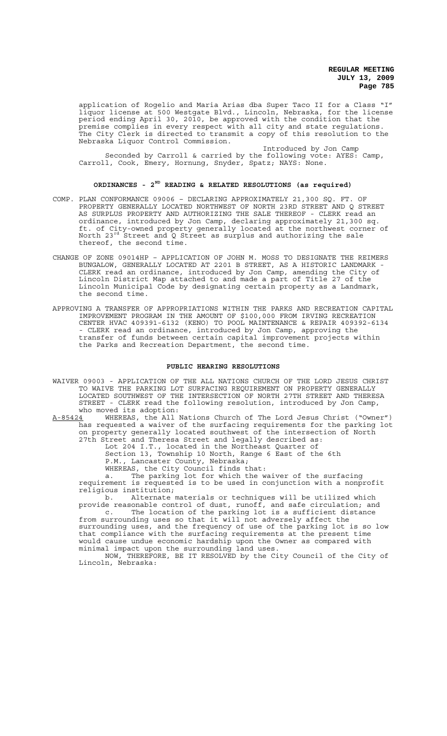application of Rogelio and Maria Arias dba Super Taco II for a Class "I" liquor license at 500 Westgate Blvd., Lincoln, Nebraska, for the license period ending April 30, 2010, be approved with the condition that the premise complies in every respect with all city and state regulations. The City Clerk is directed to transmit a copy of this resolution to the Nebraska Liquor Control Commission.

Introduced by Jon Camp Seconded by Carroll & carried by the following vote: AYES: Camp, Carroll, Cook, Emery, Hornung, Snyder, Spatz; NAYS: None.

### **ORDINANCES - 2ND READING & RELATED RESOLUTIONS (as required)**

- COMP. PLAN CONFORMANCE 09006 DECLARING APPROXIMATELY 21,300 SQ. FT. OF PROPERTY GENERALLY LOCATED NORTHWEST OF NORTH 23RD STREET AND Q STREET AS SURPLUS PROPERTY AND AUTHORIZING THE SALE THEREOF - CLERK read an ordinance, introduced by Jon Camp, declaring approximately 21,300 sq. ft. of City-owned property generally located at the northwest corner of North 23rd Street and Q Street as surplus and authorizing the sale thereof, the second time.
- CHANGE OF ZONE 09014HP APPLICATION OF JOHN M. MOSS TO DESIGNATE THE REIMERS BUNGALOW, GENERALLY LOCATED AT 2201 B STREET, AS A HISTORIC LANDMARK - CLERK read an ordinance, introduced by Jon Camp, amending the City of Lincoln District Map attached to and made a part of Title 27 of the Lincoln Municipal Code by designating certain property as a Landmark, the second time.
- APPROVING A TRANSFER OF APPROPRIATIONS WITHIN THE PARKS AND RECREATION CAPITAL IMPROVEMENT PROGRAM IN THE AMOUNT OF \$100,000 FROM IRVING RECREATION CENTER HVAC 409391-6132 (KENO) TO POOL MAINTENANCE & REPAIR 409392-6134 - CLERK read an ordinance, introduced by Jon Camp, approving the transfer of funds between certain capital improvement projects within the Parks and Recreation Department, the second time.

#### **PUBLIC HEARING RESOLUTIONS**

- WAIVER 09003 APPLICATION OF THE ALL NATIONS CHURCH OF THE LORD JESUS CHRIST TO WAIVE THE PARKING LOT SURFACING REQUIREMENT ON PROPERTY GENERALLY LOCATED SOUTHWEST OF THE INTERSECTION OF NORTH 27TH STREET AND THERESA STREET - CLERK read the following resolution, introduced by Jon Camp, who moved its adoption:
- A-85424 WHEREAS, the All Nations Church of The Lord Jesus Christ ("Owner") has requested a waiver of the surfacing requirements for the parking lot on property generally located southwest of the intersection of North 27th Street and Theresa Street and legally described as:

Lot 204 I.T., located in the Northeast Quarter of Section 13, Township 10 North, Range 6 East of the 6th

P.M., Lancaster County, Nebraska; WHEREAS, the City Council finds that:

a. The parking lot for which the waiver of the surfacing requirement is requested is to be used in conjunction with a nonprofit religious institution;<br>b. Alternate

Alternate materials or techniques will be utilized which provide reasonable control of dust, runoff, and safe circulation; and c. The location of the parking lot is a sufficient distance

from surrounding uses so that it will not adversely affect the surrounding uses, and the frequency of use of the parking lot is so low that compliance with the surfacing requirements at the present time would cause undue economic hardship upon the Owner as compared with minimal impact upon the surrounding land uses.

NOW, THEREFORE, BE IT RESOLVED by the City Council of the City of Lincoln, Nebraska: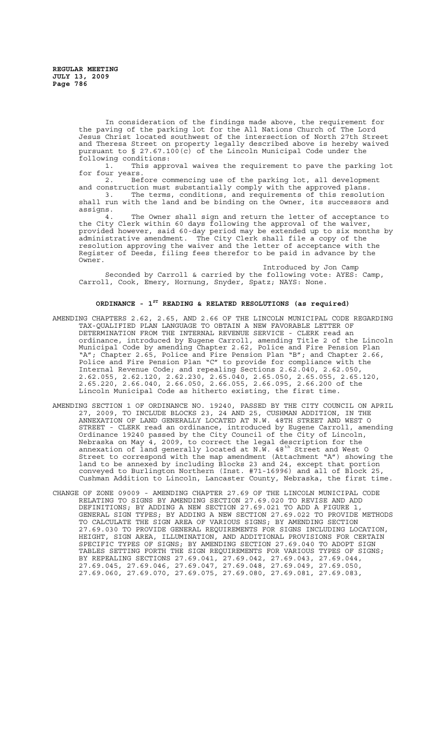In consideration of the findings made above, the requirement for the paving of the parking lot for the All Nations Church of The Lord Jesus Christ located southwest of the intersection of North 27th Street and Theresa Street on property legally described above is hereby waived pursuant to § 27.67.100(c) of the Lincoln Municipal Code under the following conditions:<br>1. This appr

This approval waives the requirement to pave the parking lot for four years.

2. Before commencing use of the parking lot, all development and construction must substantially comply with the approved plans. 3. The terms, conditions, and requirements of this resolution shall run with the land and be binding on the Owner, its successors and assigns.

4. The Owner shall sign and return the letter of acceptance to the City Clerk within 60 days following the approval of the waiver, provided however, said 60-day period may be extended up to six months by administrative amendment. The City Clerk shall file a copy of the resolution approving the waiver and the letter of acceptance with the Register of Deeds, filing fees therefor to be paid in advance by the Owner.

Introduced by Jon Camp Seconded by Carroll & carried by the following vote: AYES: Camp, Carroll, Cook, Emery, Hornung, Snyder, Spatz; NAYS: None.

# **ORDINANCE - 1ST READING & RELATED RESOLUTIONS (as required)**

- AMENDING CHAPTERS 2.62, 2.65, AND 2.66 OF THE LINCOLN MUNICIPAL CODE REGARDING TAX-QUALIFIED PLAN LANGUAGE TO OBTAIN A NEW FAVORABLE LETTER OF DETERMINATION FROM THE INTERNAL REVENUE SERVICE - CLERK read an ordinance, introduced by Eugene Carroll, amending Title 2 of the Lincoln Municipal Code by amending Chapter 2.62, Police and Fire Pension Plan "A"; Chapter 2.65, Police and Fire Pension Plan "B"; and Chapter 2.66, Police and Fire Pension Plan "C" to provide for compliance with the Internal Revenue Code; and repealing Sections 2.62.040, 2.62.050, 2.62.055, 2.62.120, 2.62.230, 2.65.040, 2.65.050, 2.65.055, 2.65.120, 2.65.220, 2.66.040, 2.66.050, 2.66.055, 2.66.095, 2.66.200 of the Lincoln Municipal Code as hitherto existing, the first time.
- AMENDING SECTION 1 OF ORDINANCE NO. 19240, PASSED BY THE CITY COUNCIL ON APRIL 27, 2009, TO INCLUDE BLOCKS 23, 24 AND 25, CUSHMAN ADDITION, IN THE ANNEXATION OF LAND GENERALLY LOCATED AT N.W. 48TH STREET AND WEST O STREET - CLERK read an ordinance, introduced by Eugene Carroll, amending Ordinance 19240 passed by the City Council of the City of Lincoln, Nebraska on May 4, 2009, to correct the legal description for the annexation of land generally located at N.W. 48<sup>th</sup> Street and West O Street to correspond with the map amendment (Attachment "A") showing the land to be annexed by including Blocks 23 and 24, except that portion conveyed to Burlington Northern (Inst. #71-16996) and all of Block 25, Cushman Addition to Lincoln, Lancaster County, Nebraska, the first time.
- CHANGE OF ZONE 09009 AMENDING CHAPTER 27.69 OF THE LINCOLN MUNICIPAL CODE RELATING TO SIGNS BY AMENDING SECTION 27.69.020 TO REVISE AND ADD DEFINITIONS; BY ADDING A NEW SECTION 27.69.021 TO ADD A FIGURE 1, GENERAL SIGN TYPES; BY ADDING A NEW SECTION 27.69.022 TO PROVIDE METHODS TO CALCULATE THE SIGN AREA OF VARIOUS SIGNS; BY AMENDING SECTION 27.69.030 TO PROVIDE GENERAL REQUIREMENTS FOR SIGNS INCLUDING LOCATION, HEIGHT, SIGN AREA, ILLUMINATION, AND ADDITIONAL PROVISIONS FOR CERTAIN SPECIFIC TYPES OF SIGNS; BY AMENDING SECTION 27.69.040 TO ADOPT SIGN TABLES SETTING FORTH THE SIGN REQUIREMENTS FOR VARIOUS TYPES OF SIGNS; BY REPEALING SECTIONS 27.69.041, 27.69.042, 27.69.043, 27.69.044, 27.69.045, 27.69.046, 27.69.047, 27.69.048, 27.69.049, 27.69.050, 27.69.060, 27.69.070, 27.69.075, 27.69.080, 27.69.081, 27.69.083,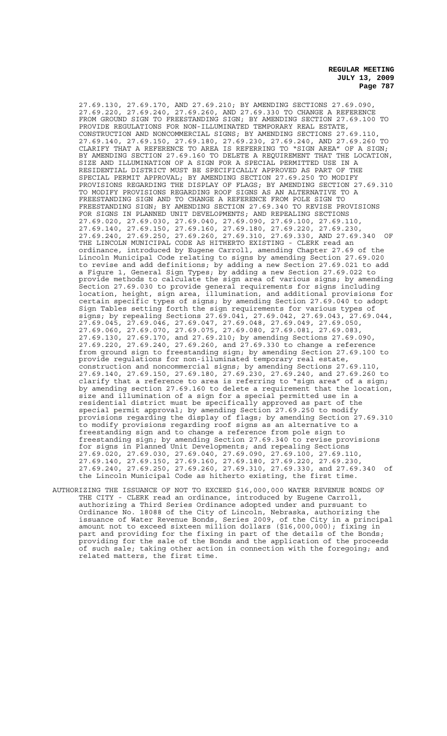27.69.130, 27.69.170, AND 27.69.210; BY AMENDING SECTIONS 27.69.090, 27.69.220, 27.69.240, 27.69.260, AND 27.69.330 TO CHANGE A REFERENCE FROM GROUND SIGN TO FREESTANDING SIGN; BY AMENDING SECTION 27.69.100 TO PROVIDE REGULATIONS FOR NON-ILLUMINATED TEMPORARY REAL ESTATE, CONSTRUCTION AND NONCOMMERCIAL SIGNS; BY AMENDING SECTIONS 27.69.110, 27.69.140, 27.69.150, 27.69.180, 27.69.230, 27.69.240, AND 27.69.260 TO CLARIFY THAT A REFERENCE TO AREA IS REFERRING TO "SIGN AREA" OF A SIGN; BY AMENDING SECTION 27.69.160 TO DELETE A REQUIREMENT THAT THE LOCATION, SIZE AND ILLUMINATION OF A SIGN FOR A SPECIAL PERMITTED USE IN A RESIDENTIAL DISTRICT MUST BE SPECIFICALLY APPROVED AS PART OF THE SPECIAL PERMIT APPROVAL; BY AMENDING SECTION 27.69.250 TO MODIFY PROVISIONS REGARDING THE DISPLAY OF FLAGS; BY AMENDING SECTION 27.69.310 TO MODIFY PROVISIONS REGARDING ROOF SIGNS AS AN ALTERNATIVE TO A FREESTANDING SIGN AND TO CHANGE A REFERENCE FROM POLE SIGN TO FREESTANDING SIGN; BY AMENDING SECTION 27.69.340 TO REVISE PROVISIONS FOR SIGNS IN PLANNED UNIT DEVELOPMENTS; AND REPEALING SECTIONS 27.69.020, 27.69.030, 27.69.040, 27.69.090, 27.69.100, 27.69.110, 27.69.140, 27.69.150, 27.69.160, 27.69.180, 27.69.220, 27.69.230, 27.69.240, 27.69.250, 27.69.260, 27.69.310, 27.69.330, AND 27.69.340 OF THE LINCOLN MUNICIPAL CODE AS HITHERTO EXISTING - CLERK read an ordinance, introduced by Eugene Carroll, amending Chapter 27.69 of the Lincoln Municipal Code relating to signs by amending Section 27.69.020 to revise and add definitions; by adding a new Section 27.69.021 to add a Figure 1, General Sign Types; by adding a new Section 27.69.022 to provide methods to calculate the sign area of various signs; by amending Section 27.69.030 to provide general requirements for signs including location, height, sign area, illumination, and additional provisions for certain specific types of signs; by amending Section 27.69.040 to adopt Sign Tables setting forth the sign requirements for various types of<br>signs; by repealing Sections 27.69.041, 27.69.042, 27.69.043, 27.69.044, signs; by repealing Sections 27.69.041, 27.69.042, 27.69.043, 27.69.044, 27.69.045, 27.69.046, 27.69.047, 27.69.048, 27.69.049, 27.69.050, 27.69.060, 27.69.070, 27.69.075, 27.69.080, 27.69.081, 27.69.083, 27.69.130, 27.69.170, and 27.69.210; by amending Sections 27.69.090, 27.69.220, 27.69.240, 27.69.260, and 27.69.330 to change a reference from ground sign to freestanding sign; by amending Section 27.69.100 to provide regulations for non-illuminated temporary real estate, construction and noncommercial signs; by amending Sections 27.69.110, 27.69.140, 27.69.150, 27.69.180, 27.69.230, 27.69.240, and 27.69.260 to clarify that a reference to area is referring to "sign area" of a sign; by amending section 27.69.160 to delete a requirement that the location, size and illumination of a sign for a special permitted use in a residential district must be specifically approved as part of the special permit approval; by amending Section 27.69.250 to modify provisions regarding the display of flags; by amending Section 27.69.310 to modify provisions regarding roof signs as an alternative to a freestanding sign and to change a reference from pole sign to freestanding sign; by amending Section 27.69.340 to revise provisions for signs in Planned Unit Developments; and repealing Sections 27.69.020, 27.69.030, 27.69.040, 27.69.090, 27.69.100, 27.69.110, 27.69.140, 27.69.150, 27.69.160, 27.69.180, 27.69.220, 27.69.230, 27.69.240, 27.69.250, 27.69.260, 27.69.310, 27.69.330, and 27.69.340 of the Lincoln Municipal Code as hitherto existing, the first time.

AUTHORIZING THE ISSUANCE OF NOT TO EXCEED \$16,000,000 WATER REVENUE BONDS OF THE CITY - CLERK read an ordinance, introduced by Eugene Carroll, authorizing a Third Series Ordinance adopted under and pursuant to Ordinance No. 18088 of the City of Lincoln, Nebraska, authorizing the issuance of Water Revenue Bonds, Series 2009, of the City in a principal amount not to exceed sixteen million dollars (\$16,000,000); fixing in part and providing for the fixing in part of the details of the Bonds; providing for the sale of the Bonds and the application of the proceeds of such sale; taking other action in connection with the foregoing; and related matters, the first time.